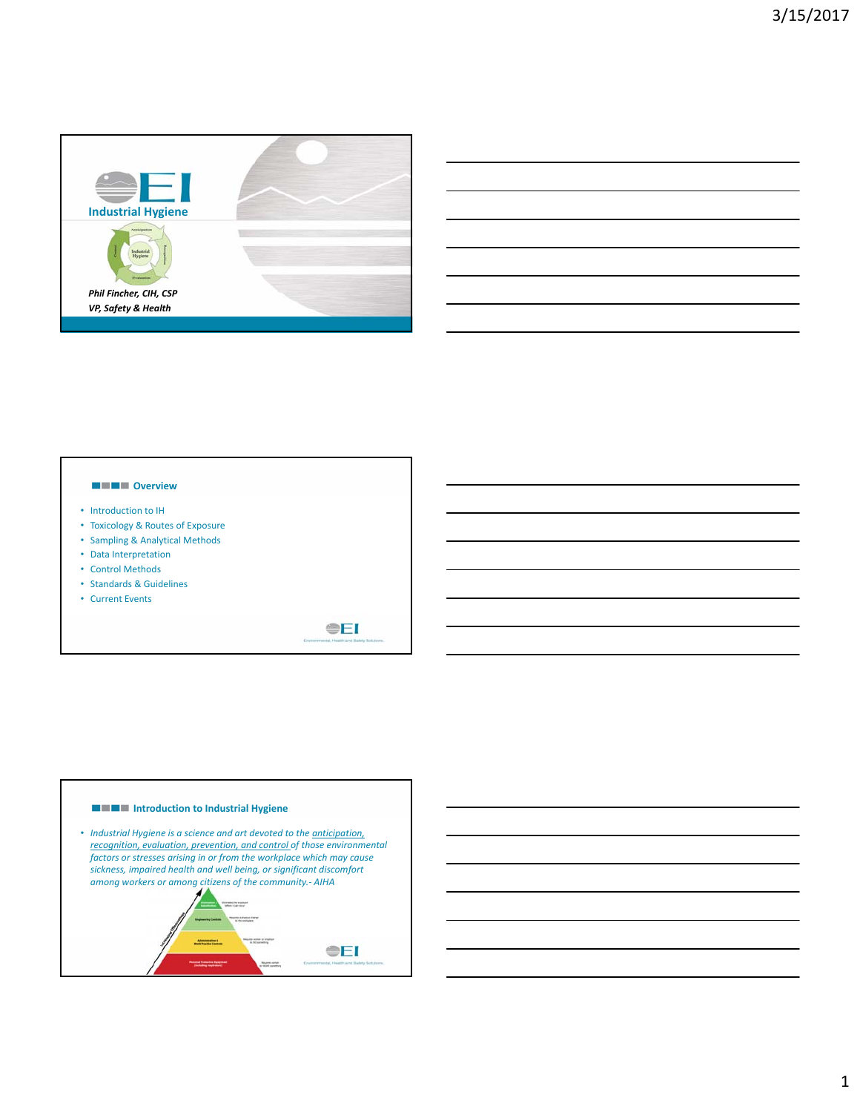

# **OVER SHE**

- Introduction to IH
- Toxicology & Routes of Exposure
- Sampling & Analytical Methods
- Data Interpretation
- Control Methods
- Standards & Guidelines
- Current Events



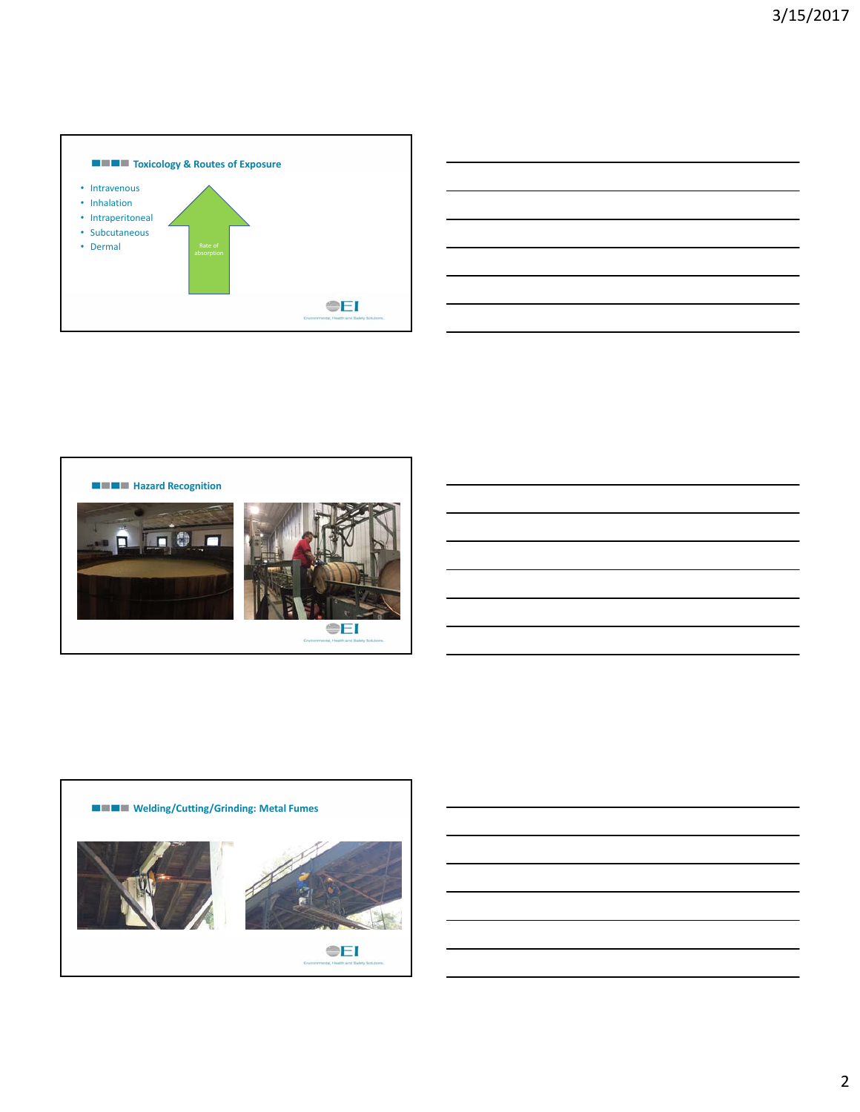

|  |                                                            | <u> 1989 - Johann Barn, amerikan berkema di sebagai berkema di sebagai berkema di sebagai berkema di sebagai ber</u> |
|--|------------------------------------------------------------|----------------------------------------------------------------------------------------------------------------------|
|  |                                                            | <u> 1989 - Johann Barn, amerikan bernama di sebagai bernama dan bernama di sebagai bernama di sebagai bernama di</u> |
|  |                                                            | <u> 1989 - Andrea Andrew Maria (h. 1989).</u>                                                                        |
|  |                                                            |                                                                                                                      |
|  |                                                            |                                                                                                                      |
|  | <u> 1989 - Johann Barn, amerikansk politiker (d. 1989)</u> | <u> 1989 - Andrea Andrew Maria (h. 1989).</u>                                                                        |



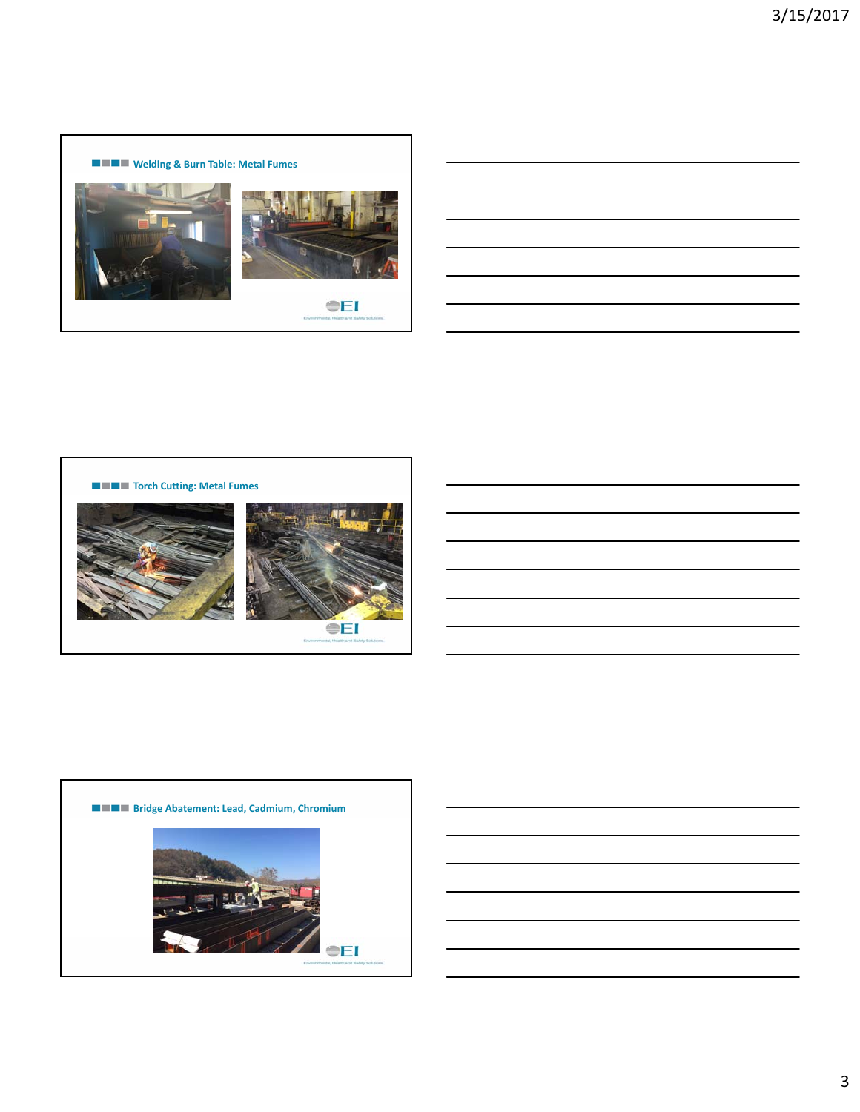



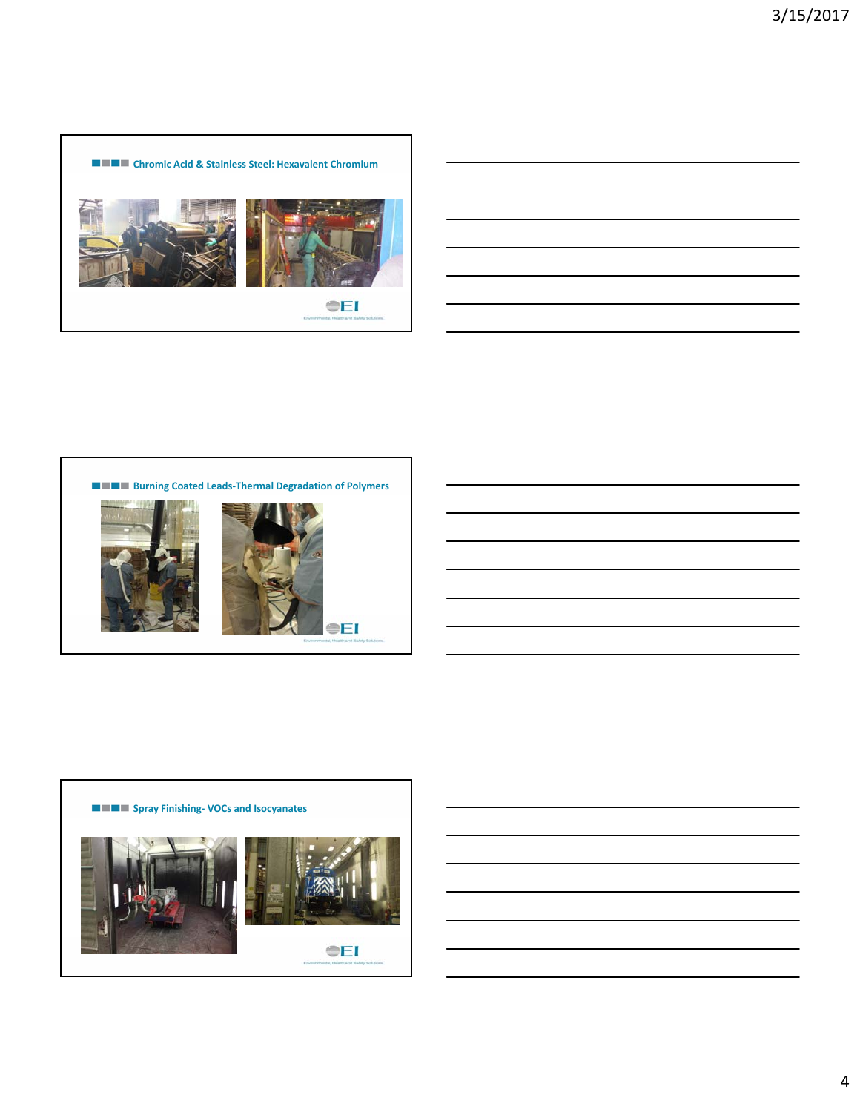



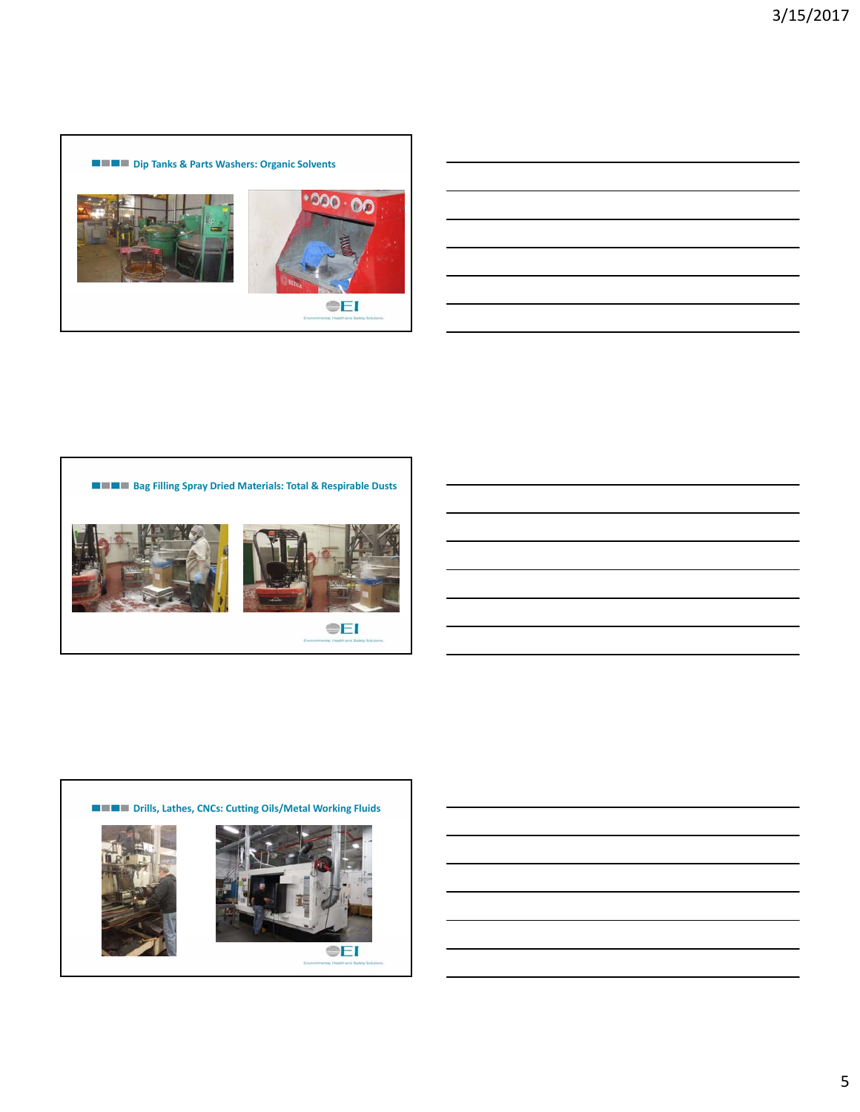



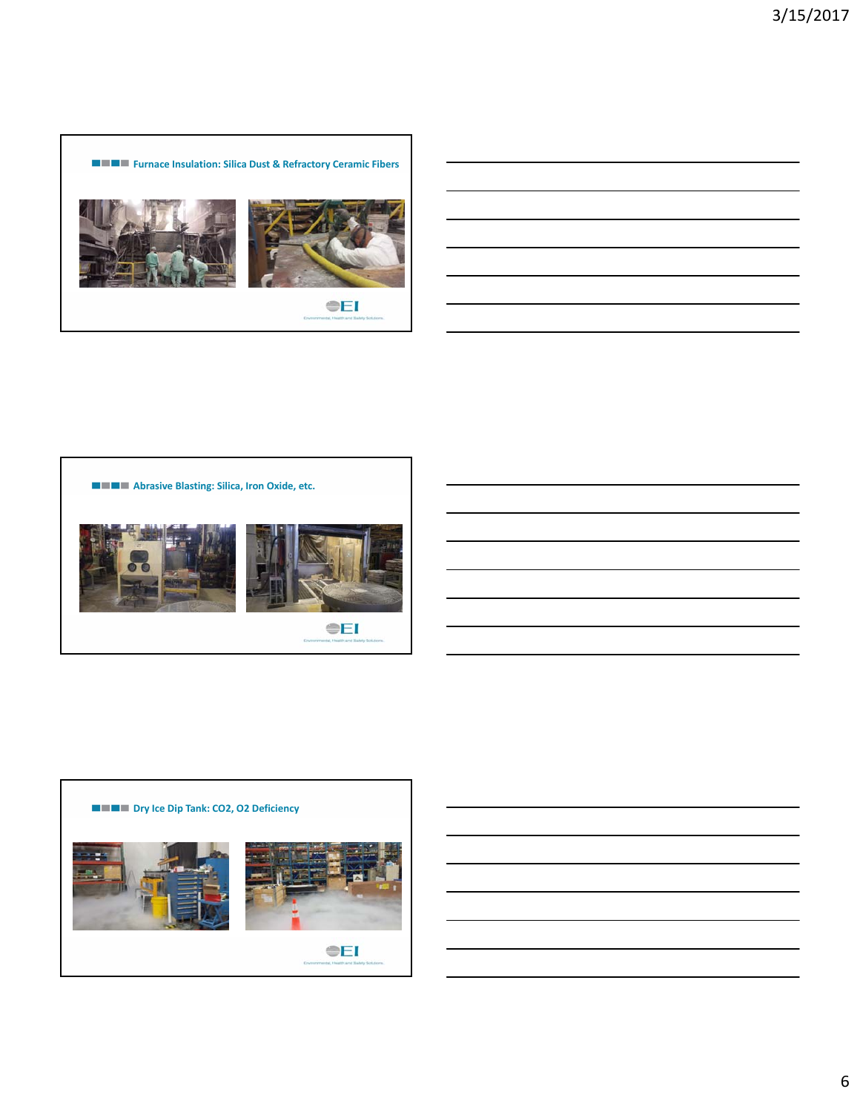



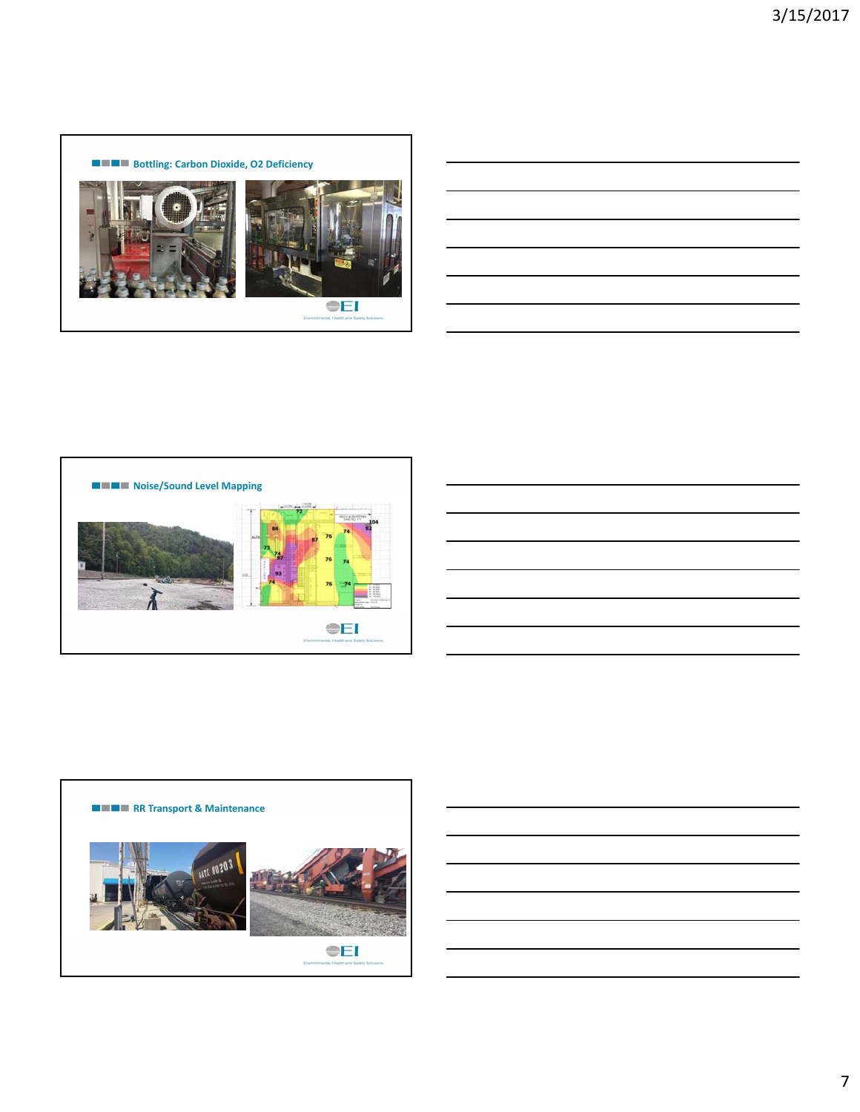





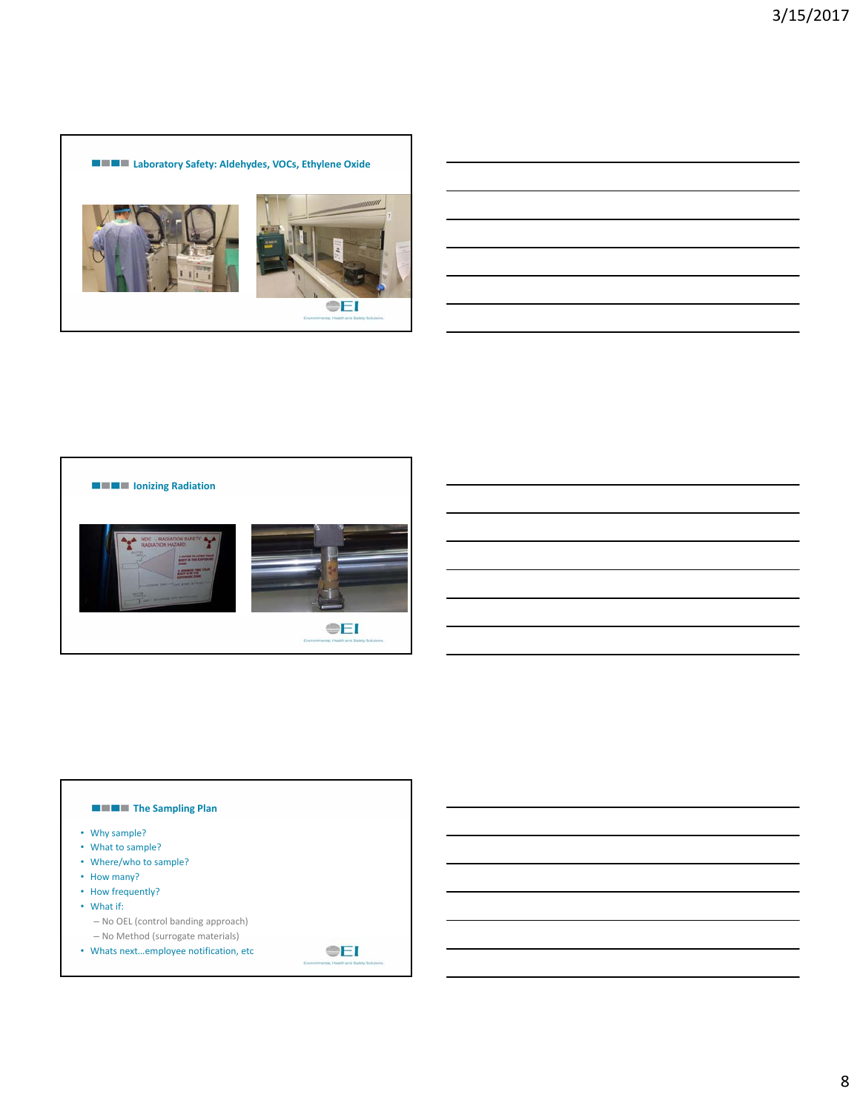



# **The Sampling Plan** • Why sample? • What to sample? • Where/who to sample? • How many? • How frequently? • What if: – No OEL (control banding approach) – No Method (surrogate materials) **OEI** • Whats next…employee notification, etc

8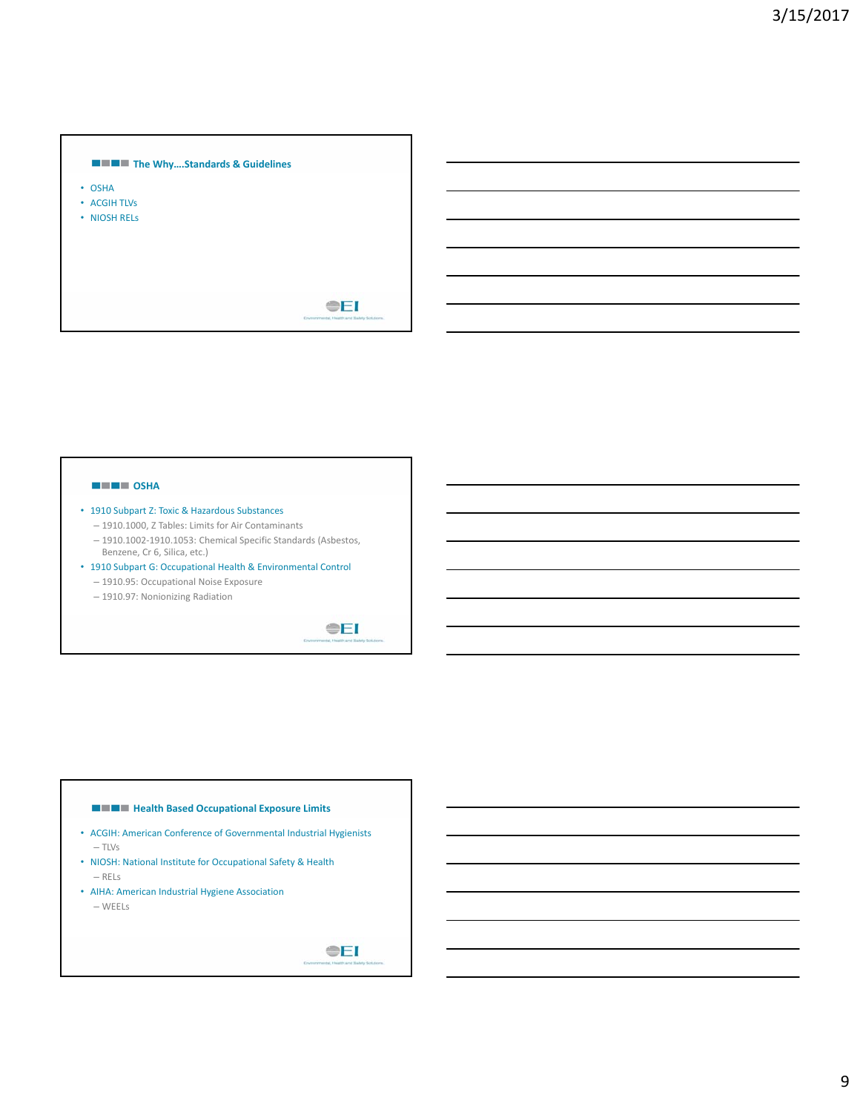

#### **NEWS** OSHA

- 1910 Subpart Z: Toxic & Hazardous Substances
	- 1910.1000, Z Tables: Limits for Air Contaminants
	- 1910.1002‐1910.1053: Chemical Specific Standards (Asbestos, Benzene, Cr 6, Silica, etc.)
- 1910 Subpart G: Occupational Health & Environmental Control
	- 1910.95: Occupational Noise Exposure
	- 1910.97: Nonionizing Radiation

**OEI** 

#### **Health Based Occupational Exposure Limits**

- ACGIH: American Conference of Governmental Industrial Hygienists – TLVs
- NIOSH: National Institute for Occupational Safety & Health – RELs
- AIHA: American Industrial Hygiene Association

– WEELs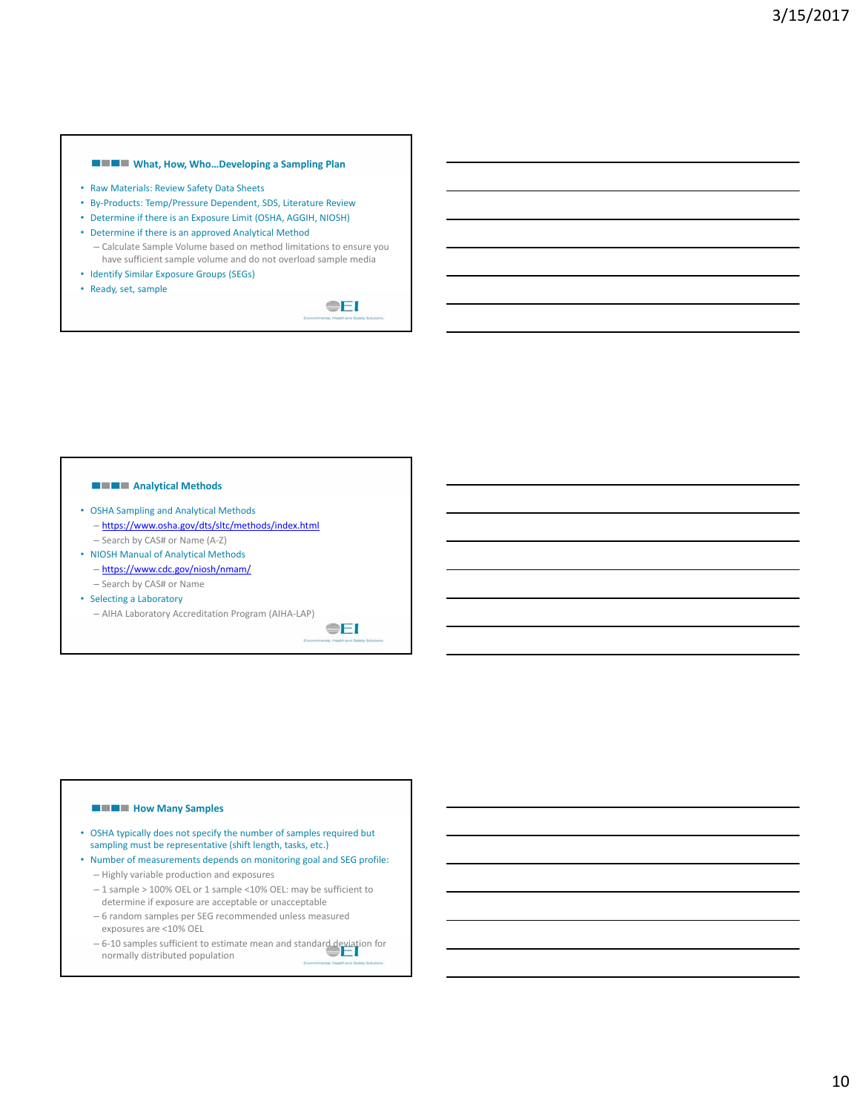# **What, How, Who…Developing a Sampling Plan**

- Raw Materials: Review Safety Data Sheets
- By‐Products: Temp/Pressure Dependent, SDS, Literature Review
- Determine if there is an Exposure Limit (OSHA, AGGIH, NIOSH)
- Determine if there is an approved Analytical Method – Calculate Sample Volume based on method limitations to ensure you have sufficient sample volume and do not overload sample media
- Identify Similar Exposure Groups (SEGs)
- Ready, set, sample

**OEI** 

**OEI** 

# **Analytical Methods**

- OSHA Sampling and Analytical Methods – https://www.osha.gov/dts/sltc/methods/index.html – Search by CAS# or Name (A‐Z)
- NIOSH Manual of Analytical Methods
	- https://www.cdc.gov/niosh/nmam/ – Search by CAS# or Name
- Selecting a Laboratory
- AIHA Laboratory Accreditation Program (AIHA‐LAP)

#### **How Many Samples**

- OSHA typically does not specify the number of samples required but sampling must be representative (shift length, tasks, etc.)
- Number of measurements depends on monitoring goal and SEG profile: – Highly variable production and exposures
	- 1 sample > 100% OEL or 1 sample <10% OEL: may be sufficient to determine if exposure are acceptable or unacceptable
	- 6 random samples per SEG recommended unless measured exposures are <10% OEL
	- 6‐10 samples sufficient to estimate mean and standard deviation for normally distributed population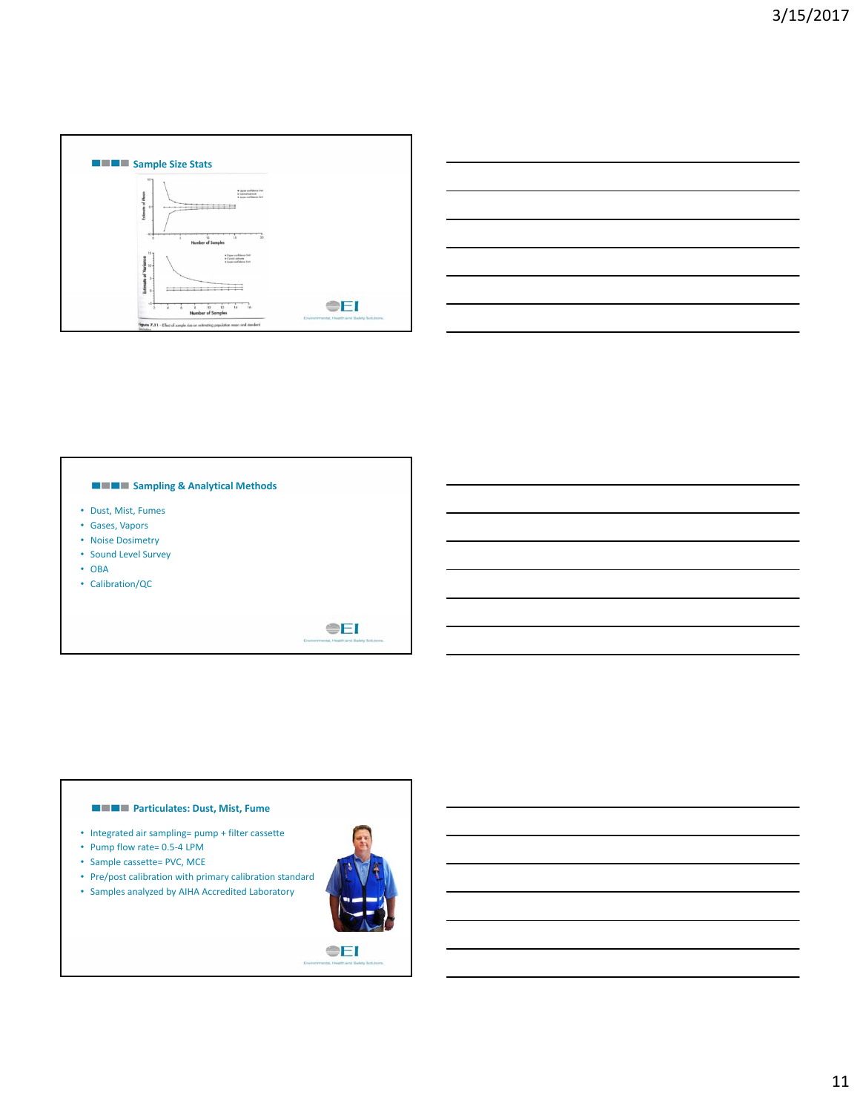

|                                                                                                                       |  | <u> 1989 - Johann Barn, mars ann an t-Amhainn an t-Amhainn an t-Amhainn an t-Amhainn an t-Amhainn an t-Amhainn an </u> |
|-----------------------------------------------------------------------------------------------------------------------|--|------------------------------------------------------------------------------------------------------------------------|
| <u> 1989 - Johann Stoff, deutscher Stoff, der Stoff, der Stoff, der Stoff, der Stoff, der Stoff, der Stoff, der S</u> |  |                                                                                                                        |
| <u> 1989 - Johann Stoff, deutscher Stoff, der Stoff, der Stoff, der Stoff, der Stoff, der Stoff, der Stoff, der S</u> |  | $\overline{\phantom{a}}$                                                                                               |
|                                                                                                                       |  | <u> 1989 - Andrea Andrew Maria (h. 1989).</u>                                                                          |
|                                                                                                                       |  | <u> 1989 - Johann Barn, mars ann an t-Amhain ann an t-Amhain ann an t-Amhain ann an t-Amhain an t-Amhain ann an t-</u> |
|                                                                                                                       |  |                                                                                                                        |

L,

# **Sampling & Analytical Methods** • Dust, Mist, Fumes • Gases, Vapors • Noise Dosimetry • Sound Level Survey • OBA • Calibration/QC **OEI**

# **Particulates: Dust, Mist, Fume**

- Integrated air sampling= pump + filter cassette
- Pump flow rate= 0.5-4 LPM
- Sample cassette= PVC, MCE
- Pre/post calibration with primary calibration standard
- Samples analyzed by AIHA Accredited Laboratory

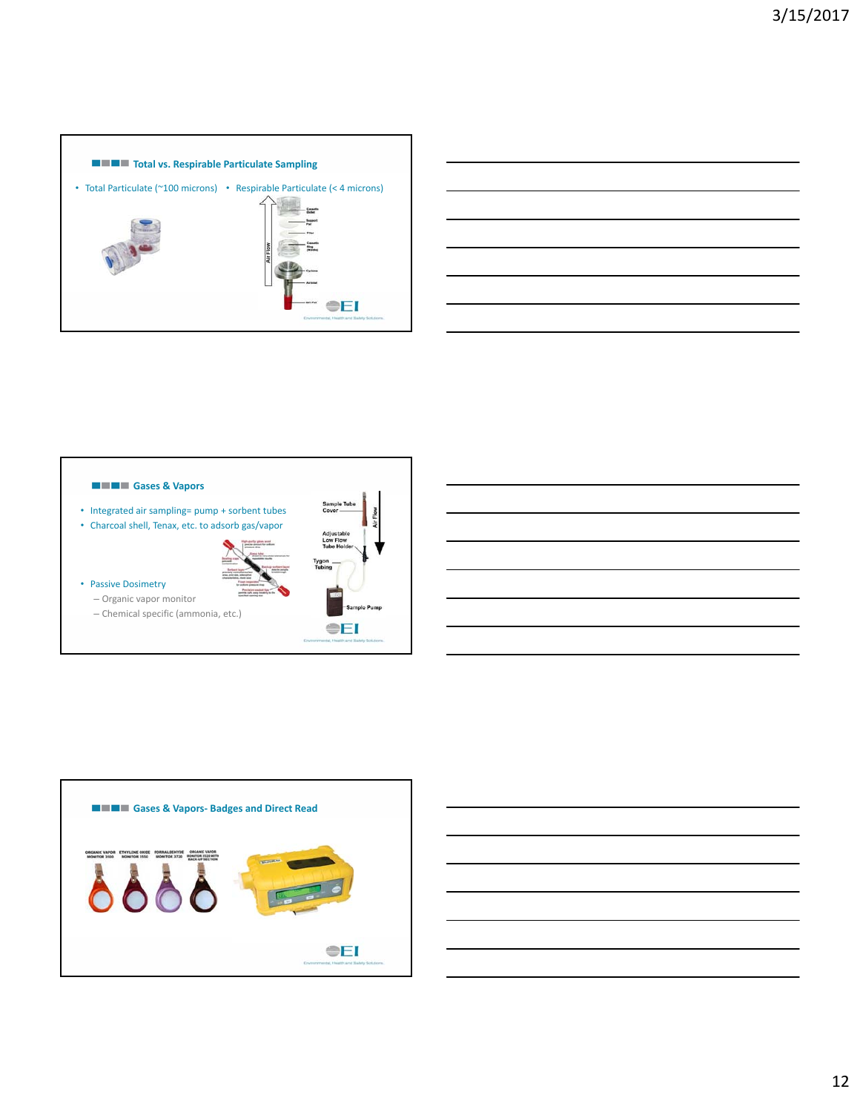







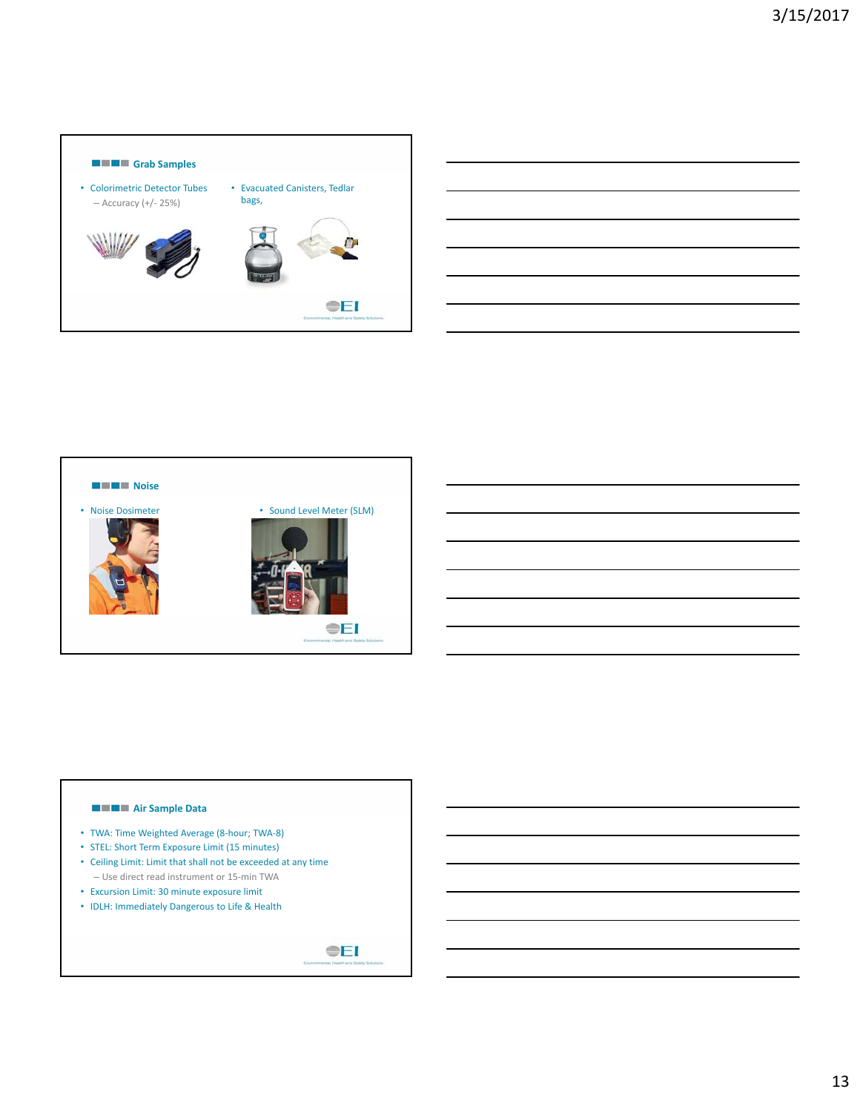





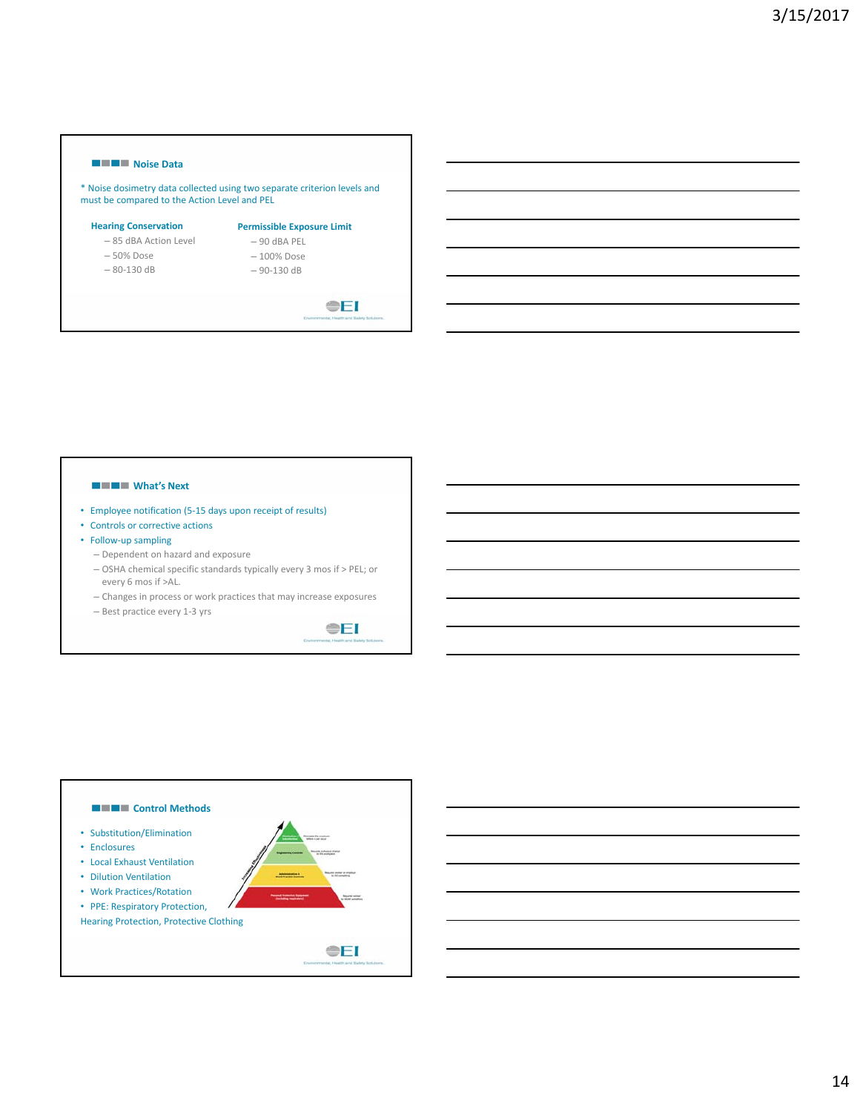#### **Noise Data**

\* Noise dosimetry data collected using two separate criterion levels and must be compared to the Action Level and PEL

#### **Hearing Conservation**

- **Permissible Exposure Limit**
- 85 dBA Action Level – 50% Dose – 80‐130 dB
- 90 dBA PEL – 100% Dose
- - 90‐130 dB

 $E$ 

#### **WHAT's Next**

- Employee notification (5‐15 days upon receipt of results)
- Controls or corrective actions
- Follow‐up sampling
	- Dependent on hazard and exposure
	- OSHA chemical specific standards typically every 3 mos if > PEL; or every 6 mos if >AL.
	- Changes in process or work practices that may increase exposures
	- Best practice every 1‐3 yrs



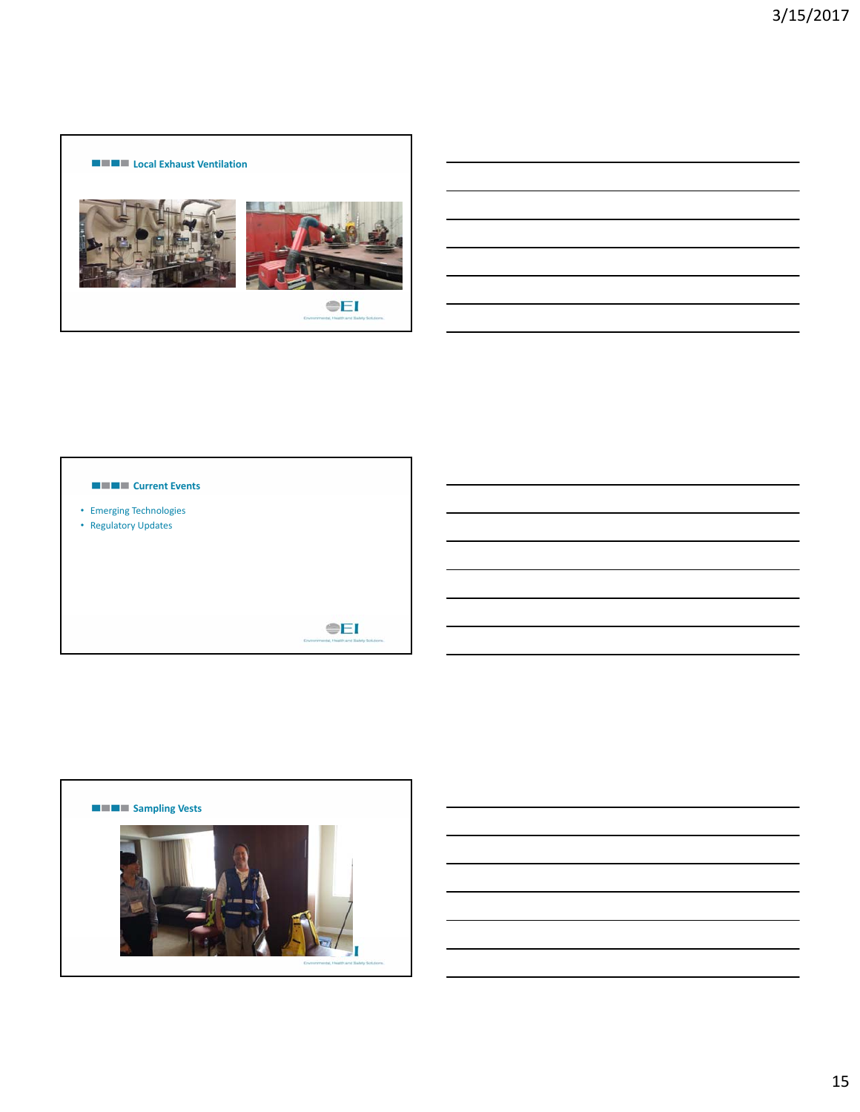# **Local Exhaust Ventilation** a. **OEI**



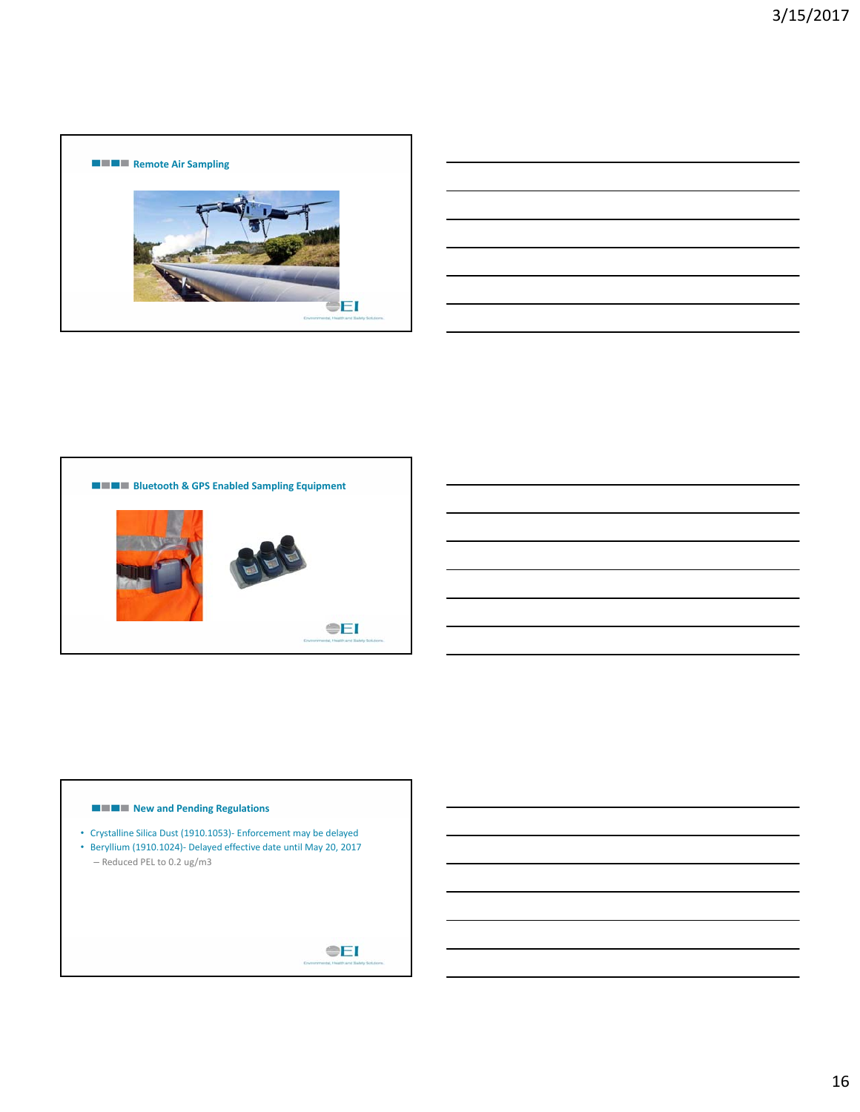

| <u> 1989 - Andrea Andrew Maria (h. 1989).</u>                                                                        |  |  |
|----------------------------------------------------------------------------------------------------------------------|--|--|
| <u> 1989 - Andrea Andrea Andrea Andrea Andrea Andrea Andrea Andrea Andrea Andrea Andrea Andrea Andrea Andrea And</u> |  |  |
| <u> 1989 - Andrea Andrew Maria (h. 1989).</u>                                                                        |  |  |
| <u> 1989 - Andrea Andrew Maria (h. 1989).</u>                                                                        |  |  |
| <u> 1989 - Andrea Andrew Maria (h. 1989).</u>                                                                        |  |  |
|                                                                                                                      |  |  |



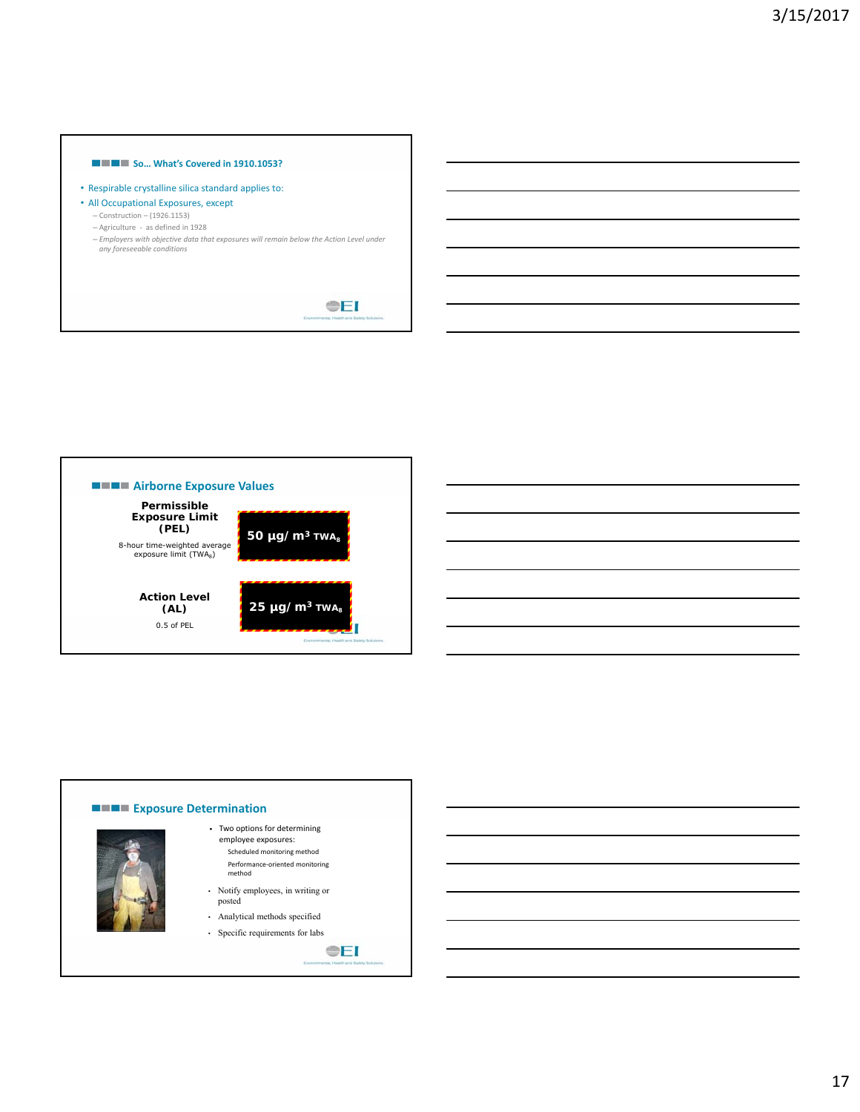# **So... What's Covered in 1910.1053?**

- Respirable crystalline silica standard applies to:
- All Occupational Exposures, except
	- Construction (1926.1153)
	- Agriculture ‐ as defined in 1928
	- *Employers with objective data that exposures will remain below the Action Level under any foreseeable conditions*



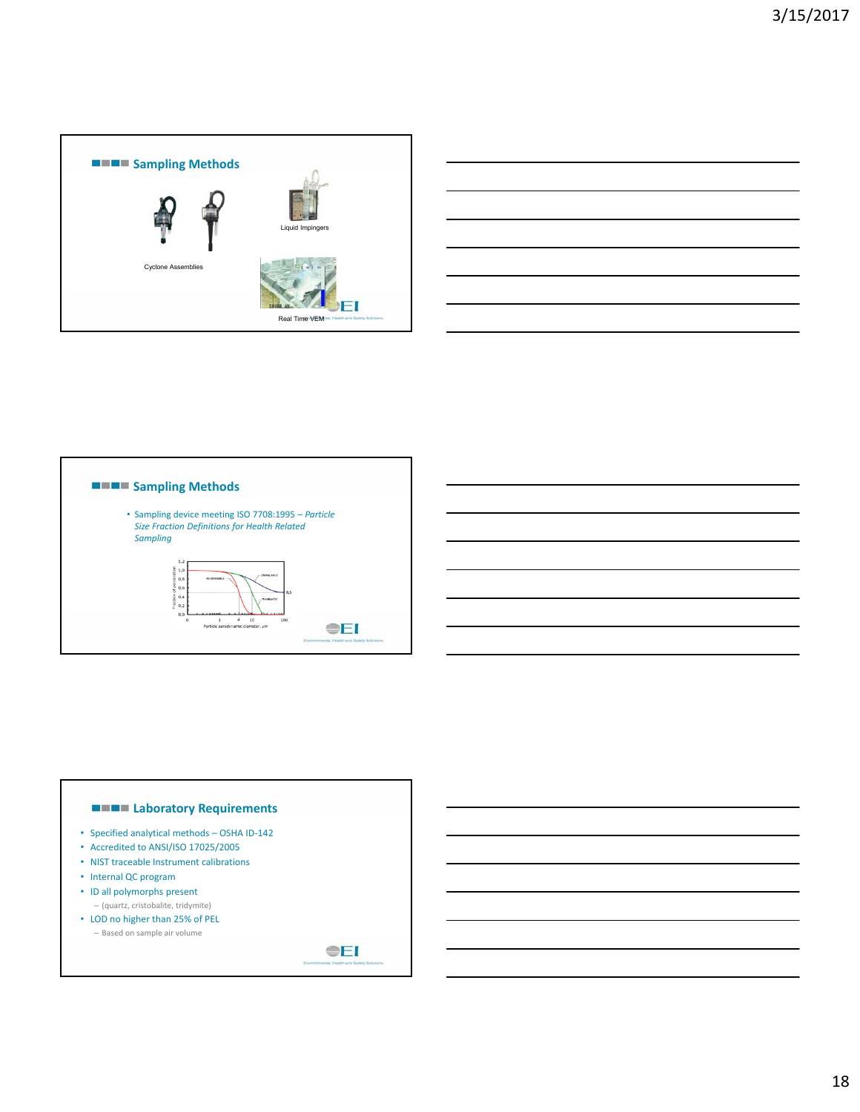





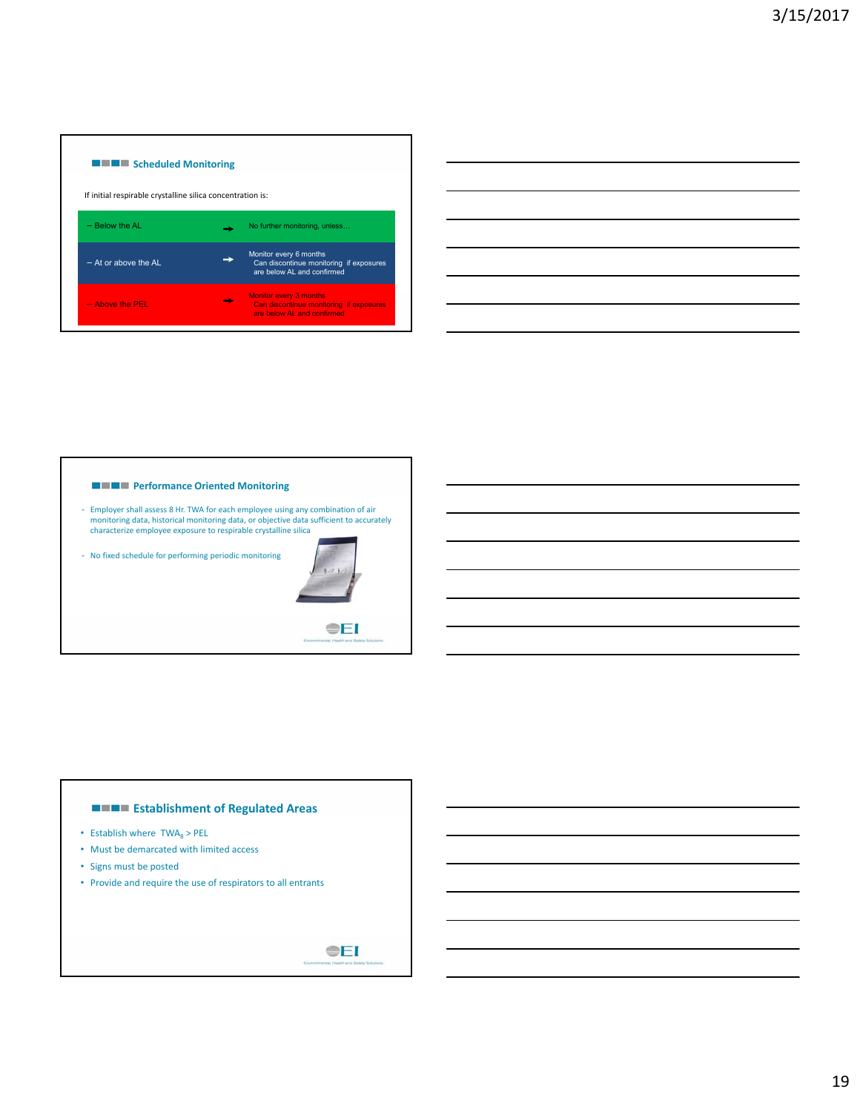

| <u> The Communication of the Communication of the Communication of the Communication of the Communication of the Co</u> |  |  |
|-------------------------------------------------------------------------------------------------------------------------|--|--|
|                                                                                                                         |  |  |
|                                                                                                                         |  |  |
| and the contract of the contract of the                                                                                 |  |  |
|                                                                                                                         |  |  |
|                                                                                                                         |  |  |



# **ESTABLISHMENT OF Regulated Areas**

- Establish where  $TWA_8$  > PEL
- Must be demarcated with limited access
- Signs must be posted
- Provide and require the use of respirators to all entrants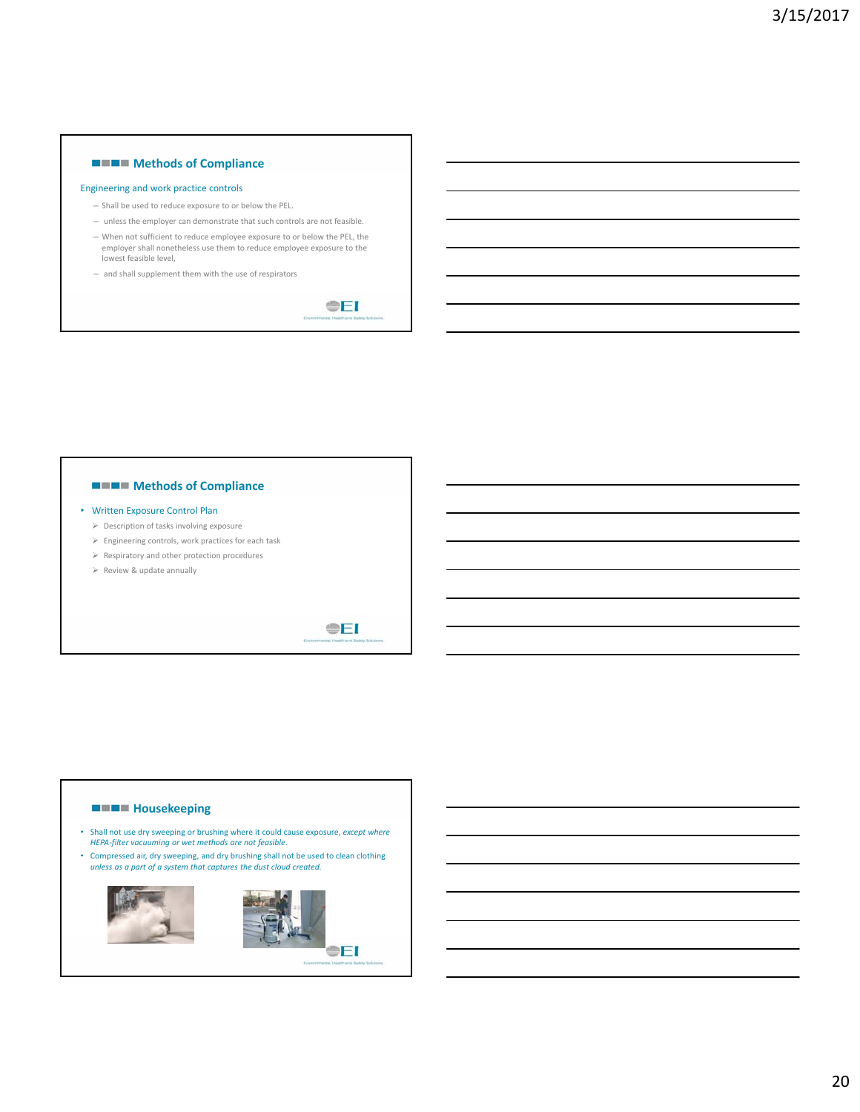# **Methods of Compliance**

#### Engineering and work practice controls

- Shall be used to reduce exposure to or below the PEL.
- unless the employer can demonstrate that such controls are not feasible.
- When not sufficient to reduce employee exposure to or below the PEL, the employer shall nonetheless use them to reduce employee exposure to the lowest feasible level,
- and shall supplement them with the use of respirators

**OEI** 



# **Housekeeping**

- Shall not use dry sweeping or brushing where it could cause exposure, *except where HEPA‐filter vacuuming or wet methods are not feasible*.
- Compressed air, dry sweeping, and dry brushing shall not be used to clean clothing *unless as a part of a system that captures the dust cloud created.*



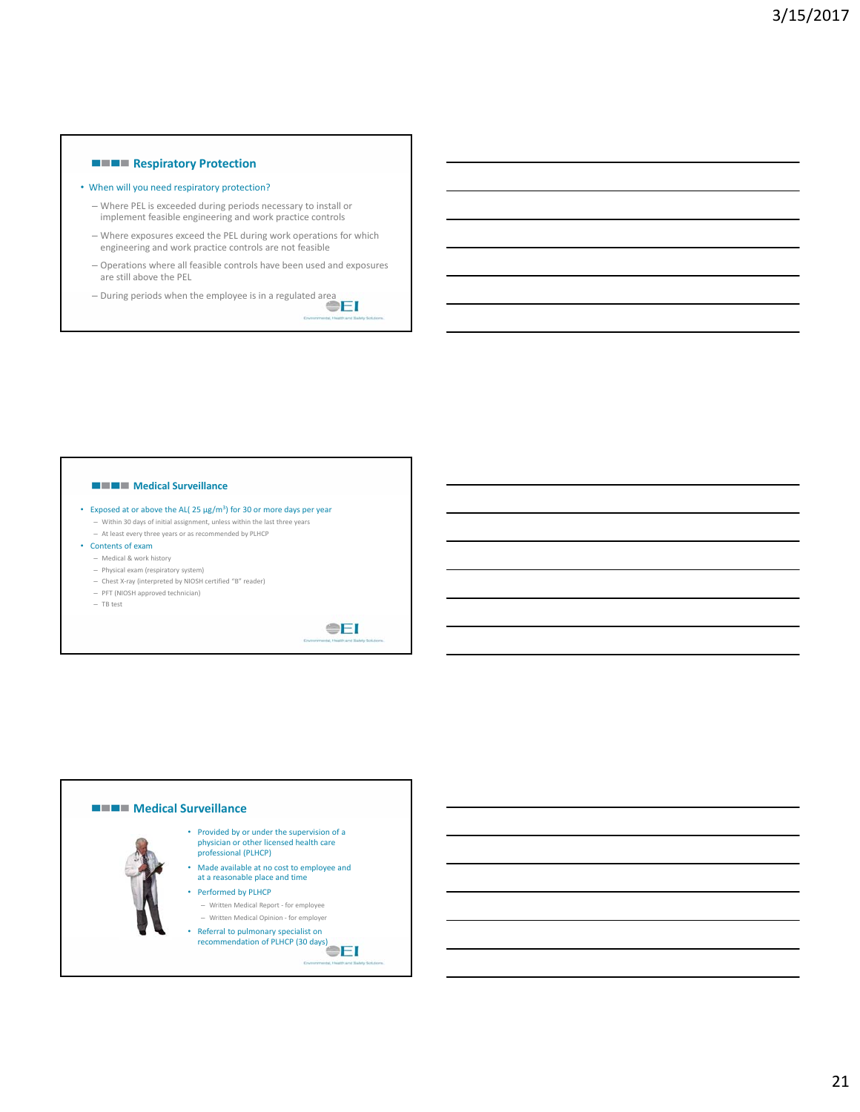# **Respiratory Protection**

#### • When will you need respiratory protection?

- Where PEL is exceeded during periods necessary to install or implement feasible engineering and work practice controls
- Where exposures exceed the PEL during work operations for which engineering and work practice controls are not feasible
- Operations where all feasible controls have been used and exposures are still above the PEL
- During periods when the employee is in a regulated area

#### **MEDIA** Medical Surveillance

- Exposed at or above the AL( 25 µg/m3) for 30 or more days per year – Within 30 days of initial assignment, unless within the last three years – At least every three years or as recommended by PLHCP
- Contents of exam
	- Medical & work history
	- Physical exam (respiratory system)
	- Chest X‐ray (interpreted by NIOSH certified "B" reader)
	- PFT (NIOSH approved technician)
	- TB test

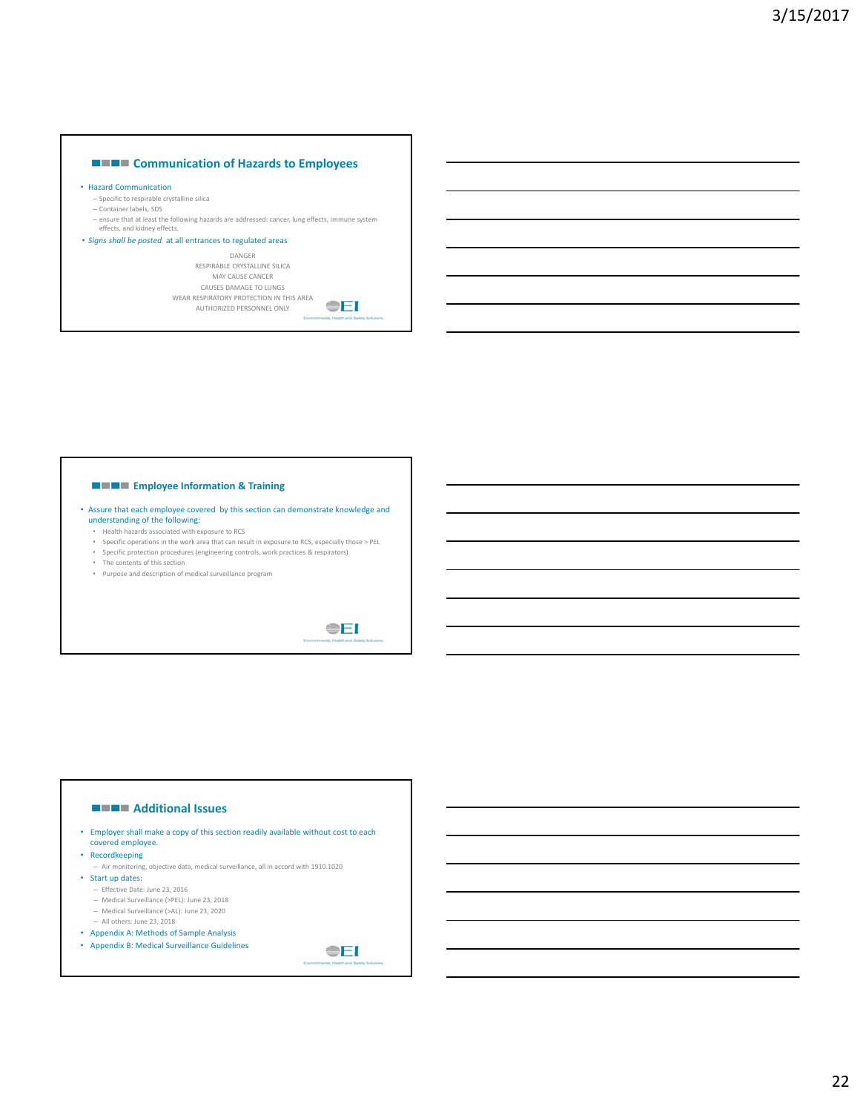

## • Hazard Communication

- Specific to respirable crystalline silica
- Container labels, SDS
- ensure that at least the following hazards are addressed: cancer, lung effects, immune system effects, and kidney effects.

#### • *Signs shall be posted* at all entrances to regulated areas

DANGER RESPIRABLE CRYSTALLINE SILICA MAY CAUSE CANCER CAUSES DAMAGE TO LUNGS WEAR RESPIRATORY PROTECTION IN THIS AREA AUTHORIZED PERSONNEL ONLY



# **EMPLE** Employee Information & Training

- Assure that each employee covered by this section can demonstrate knowledge and understanding of the following:
	- Health hazards associated with exposure to RCS
	- Specific operations in the work area that can result in exposure to RCS, especially those > PEL
	- Specific protection procedures (engineering controls, work practices & respirators) • The contents of this section
	-
	- Purpose and description of medical surveillance program

**OEI** 

# **Additional Issues**

- Employer shall make a copy of this section readily available without cost to each covered employee.
- Recordkeeping
	- Air monitoring, objective data, medical surveillance, all in accord with 1910.1020
- Start up dates:
	- Effective Date: June 23, 2016
	- Medical Surveillance (>PEL): June 23, 2018 – Medical Surveillance (>AL): June 23, 2020
	- All others: June 23, 2018
	-
- Appendix A: Methods of Sample Analysis • Appendix B: Medical Surveillance Guidelines